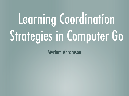# Learning Coordination Strategies in Computer Go

Myriam Abramson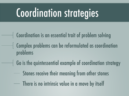## Coordination strategies

- Coordination is an essential trait of problem solving Complex problems can be reformulated as coordination problems
- Go is the quintessential example of coordination strategy
	- Stones receive their meaning from other stones
	- There is no intrinsic value in a move by itself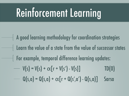## Reinforcement Learning

- A good learning methodology for coordination strategies Learn the value of a state from the value of successor states For example, temporal difference learning updates:  $V(s) = V(s) + \alpha [r + V(s')] - V(s)]$  TD(0)
	- $Q(s,a) = Q(s,a) + \alpha [r + Q(s',a') Q(s,a)]$  Sarsa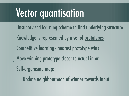#### Vector quantisation

- Unsupervised learning scheme to find underlying structure Knowledge is represented by a set of prototypes Competitive learning - nearest prototype wins Move winning prototype closer to actual input Self-organising map:
	- Update neighbourhood of winner towards input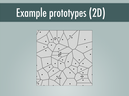## Example prototypes (2D)

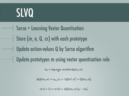#### SLVQ

Sarsa + Learning Vector Quantisation Store (m, a, Q, x) with each prototype Let Update action-values Q by Sarsa algorithm Update prototypes m using vector quantisation rule  $\mathbf{L}$  a function of the weight vectorsis a function of the action-value of the move. The movement of the move. The weight vector that matched most closely then moves closer to or away from  $\vert$  linda

 $m_t = \arg \max_m \, similarity(s_t, m)$ 

$$
\Delta Q(m_t, a) = \alpha_{m_t} [r_t + \gamma Q(m', a') - Q(m_t, a)]
$$

 $m(t+1) = m(t) + \Delta Q(m_t, a) [s_t - m_t]$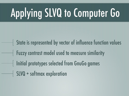## Applying SLVQ to Computer Go

State is represented by vector of influence function values Fuzzy contrast model used to measure similarity Initial prototypes selected from GnuGo games  $\parallel$  SLVQ + softmax exploration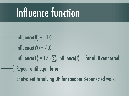## Influence function

 $\text{Influence(B)} = +1.0$  $\text{Influence}(W) = -1.0$  $\vert$  Influence(E) = 1/8  $\sum_i$  Influence(i) for all 8-connected i Repeat until equilibrium Equivalent to solving DP for random 8-connected walk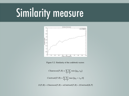#### Similarity measure



Figure 5.2: Similarity of the codebook vectors

$$
Closeness(P, R) = \sum_{i} \sum_{j} \min \{p_{ij}, r_{ij}\}
$$

$$
Contrast(P, R) = \sum_{i} \sum_{j} max \{p_{ij} - r_{ij}, 0\}
$$

$$
S\left(P,R\right)=Closeness(P,R)-\alpha Contrast(P,R)-\beta Contrast(R,P
$$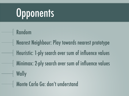## Opponents

- Random
- Nearest Neighbour: Play towards nearest prototype Heuristic: 1-ply search over sum of influence values Minimax: 2-ply search over sum of influence values Wally

Monte Carlo Go: don't understand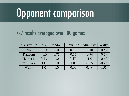## Opponent comparison

#### 7x7 results averaged over 100 games I is a nearest-neighbor lookup based on the similar statement of the similar statement of the similar statement of the similar statement of the similar statement of the similar statement of the similar statement of the sim the initial codebook vectors in its codebook vectors in the initial codebook vectors in the initial codebook ve

| black\white | <b>NN</b> | Random | Heuristic | Minimax | Wally   |
|-------------|-----------|--------|-----------|---------|---------|
| <b>NN</b>   | $-1.0$    | 1.0    | $-0.18$   | $-0.10$ | $-0.57$ |
| Random      | $-1.0$    | 0.75   | $-0.75$   | $-0.74$ | $-0.79$ |
| Heuristic   | 0.13      | 1.0    | 0.47      | $-1.0$  | $-0.62$ |
| Minimax     | 1.0       | 1.0    | 1.0       | $-0.05$ | $-0.23$ |
| Wally       | 1.0       | 1.0    | $-0.09$   | 0.48    | 0.55    |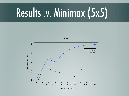## Results .v. Minimax (5x5)

50



**5 x 5**

number of games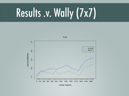## Results .v. Wally (7x7)

51



number of games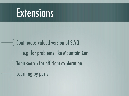#### Extensions

Continuous valued version of SLVQ e.g. for problems like Mountain Car Tabu search for efficient exploration **Learning by parts**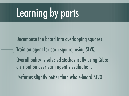## Learning by parts

Decompose the board into overlapping squares Train an agent for each square, using SLVQ Overall policy is selected stochastically using Gibbs distribution over each agent's evaluation. Performs slightly better than whole-board SLVQ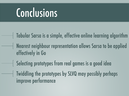#### Conclusions

- Tabular Sarsa is a simple, effective online learning algorithm Nearest neighbour representation allows Sarsa to be applied effectively in Go
- Selecting prototypes from real games is a good idea
- Twiddling the prototypes by SLVQ may possibly perhaps improve performance